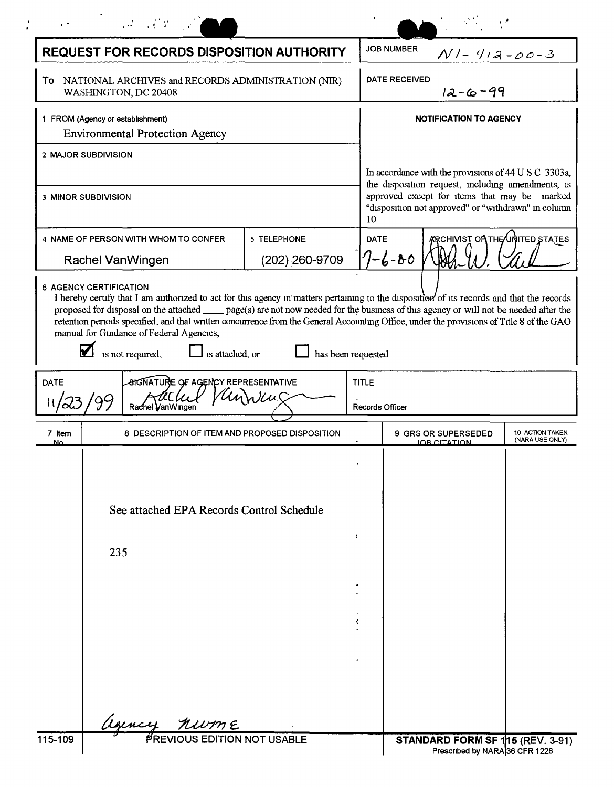|                                                                                                                                                                                                                                                                                                                                                                                                                                                                                                                                                                     |                                                                                        | the same of the same                              |                                            |              |                                                                                                                                                          |                                                                    |                                    |  |
|---------------------------------------------------------------------------------------------------------------------------------------------------------------------------------------------------------------------------------------------------------------------------------------------------------------------------------------------------------------------------------------------------------------------------------------------------------------------------------------------------------------------------------------------------------------------|----------------------------------------------------------------------------------------|---------------------------------------------------|--------------------------------------------|--------------|----------------------------------------------------------------------------------------------------------------------------------------------------------|--------------------------------------------------------------------|------------------------------------|--|
| <b>REQUEST FOR RECORDS DISPOSITION AUTHORITY</b>                                                                                                                                                                                                                                                                                                                                                                                                                                                                                                                    |                                                                                        |                                                   |                                            |              | <b>JOB NUMBER</b><br>$N1 - 412 - 00-3$                                                                                                                   |                                                                    |                                    |  |
| To NATIONAL ARCHIVES and RECORDS ADMINISTRATION (NIR)<br>WASHINGTON, DC 20408                                                                                                                                                                                                                                                                                                                                                                                                                                                                                       |                                                                                        |                                                   |                                            |              | DATE RECEIVED<br>$12 - 6 - 99$                                                                                                                           |                                                                    |                                    |  |
| 1 FROM (Agency or establishment)<br><b>Environmental Protection Agency</b>                                                                                                                                                                                                                                                                                                                                                                                                                                                                                          |                                                                                        |                                                   |                                            |              | <b>NOTIFICATION TO AGENCY</b>                                                                                                                            |                                                                    |                                    |  |
| 2 MAJOR SUBDIVISION                                                                                                                                                                                                                                                                                                                                                                                                                                                                                                                                                 |                                                                                        |                                                   |                                            |              | In accordance with the provisions of 44 U S C 3303a,                                                                                                     |                                                                    |                                    |  |
| <b>3 MINOR SUBDIVISION</b>                                                                                                                                                                                                                                                                                                                                                                                                                                                                                                                                          |                                                                                        |                                                   |                                            | 10           | the disposition request, including amendments, is<br>approved except for items that may be marked<br>"disposition not approved" or "withdrawn" in column |                                                                    |                                    |  |
| 4 NAME OF PERSON WITH WHOM TO CONFER<br>Rachel VanWingen                                                                                                                                                                                                                                                                                                                                                                                                                                                                                                            |                                                                                        |                                                   | 5 TELEPHONE<br>$(202)$ <sub>260-9709</sub> | <b>DATE</b>  | ARCHIVIST ON THE∕UNITED STATES<br>$7 - 6 - 80$                                                                                                           |                                                                    |                                    |  |
| <b>6 AGENCY CERTIFICATION</b><br>I hereby certify that I am authorized to act for this agency in matters pertaining to the disposition of its records and that the records<br>proposed for disposal on the attached page(s) are not now needed for the business of this agency or will not be needed after the<br>retention periods specified, and that written concurrence from the General Accounting Office, under the provisions of Title 8 of the GAO<br>manual for Guidance of Federal Agencies,<br>is attached, or<br>has been requested<br>is not required, |                                                                                        |                                                   |                                            |              |                                                                                                                                                          |                                                                    |                                    |  |
| <b>DATE</b>                                                                                                                                                                                                                                                                                                                                                                                                                                                                                                                                                         | <b><i>AIGNATURE OF AGENCY REPRESENTATIVE</i></b><br>r <i>li</i> u(<br>Rachel VanWingen |                                                   |                                            | <b>TITLE</b> | <b>Records Officer</b>                                                                                                                                   |                                                                    |                                    |  |
| 7 Item<br>Ν٥                                                                                                                                                                                                                                                                                                                                                                                                                                                                                                                                                        |                                                                                        | 8 DESCRIPTION OF ITEM AND PROPOSED DISPOSITION    |                                            |              |                                                                                                                                                          | <b>9 GRS OR SUPERSEDED</b><br><b>IOB CITATION</b>                  | 10 ACTION TAKEN<br>(NARA USE ONLY) |  |
|                                                                                                                                                                                                                                                                                                                                                                                                                                                                                                                                                                     |                                                                                        |                                                   |                                            |              |                                                                                                                                                          |                                                                    |                                    |  |
|                                                                                                                                                                                                                                                                                                                                                                                                                                                                                                                                                                     | See attached EPA Records Control Schedule                                              |                                                   |                                            |              |                                                                                                                                                          |                                                                    |                                    |  |
|                                                                                                                                                                                                                                                                                                                                                                                                                                                                                                                                                                     |                                                                                        | 235                                               |                                            | t            |                                                                                                                                                          |                                                                    |                                    |  |
|                                                                                                                                                                                                                                                                                                                                                                                                                                                                                                                                                                     |                                                                                        |                                                   |                                            |              |                                                                                                                                                          |                                                                    |                                    |  |
|                                                                                                                                                                                                                                                                                                                                                                                                                                                                                                                                                                     |                                                                                        |                                                   |                                            | ₹            |                                                                                                                                                          |                                                                    |                                    |  |
|                                                                                                                                                                                                                                                                                                                                                                                                                                                                                                                                                                     |                                                                                        |                                                   |                                            |              |                                                                                                                                                          |                                                                    |                                    |  |
|                                                                                                                                                                                                                                                                                                                                                                                                                                                                                                                                                                     |                                                                                        |                                                   |                                            |              |                                                                                                                                                          |                                                                    |                                    |  |
| 115-109                                                                                                                                                                                                                                                                                                                                                                                                                                                                                                                                                             |                                                                                        | Leuncy nume<br><b>PREVIOUS EDITION NOT USABLE</b> |                                            |              |                                                                                                                                                          | STANDARD FORM SF 115 (REV. 3-91)<br>Prescribed by NARA 36 CFR 1228 |                                    |  |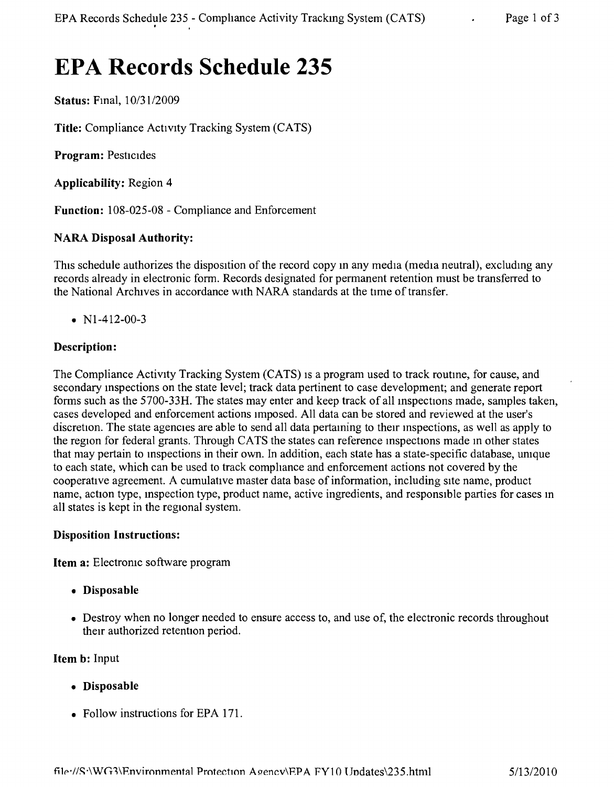# **EPA Records Schedule 235**

**Status:** Fmal, *10/3112009*

**Title:** Compliance Activity Tracking System (CATS)

**Program:** Pesticides

**Applicability:** Region 4

**Function:** 108-025-08 - Compliance and Enforcement

## **NARA Disposal Authority:**

This schedule authorizes the disposition of the record copy in any media (media neutral), excludmg any records already in electronic form. Records designated for permanent retention must be transferred to the National Archives in accordance with NARA standards at the time of transfer.

•  $N1-412-00-3$ 

## **Description:**

The Compliance Activity Tracking System (CATS) IS a program used to track routme, for cause, and secondary mspections on the state level; track data pertinent to case development; and generate report forms such as the 5700-33H. The states may enter and keep track of all inspections made, samples taken, cases developed and enforcement actions Imposed. All data can be stored and reviewed at the user's discretion. The state agencies are able to send all data pertaining to their inspections, as well as apply to the region for federal grants. Through CATS the states can reference mspections made m other states that may pertain to mspections in their own. In addition, each state has a state-specific database, umque to each state, which can be used to track compliance and enforcement actions not covered by the cooperatrve agreement. A cumulative master data base of information, including site name, product name, action type, mspection type, product name, active ingredients, and responsible parties for cases m all states is kept in the regional system.

#### **Disposition Instructions:**

**Item a:** Electronic software program

- **• Disposable**
- Destroy when no longer needed to ensure access to, and use of, the electronic records throughout their authorized retention period.

#### **Item b:** Input

- **• Disposable**
- Follow instructions for EPA 171.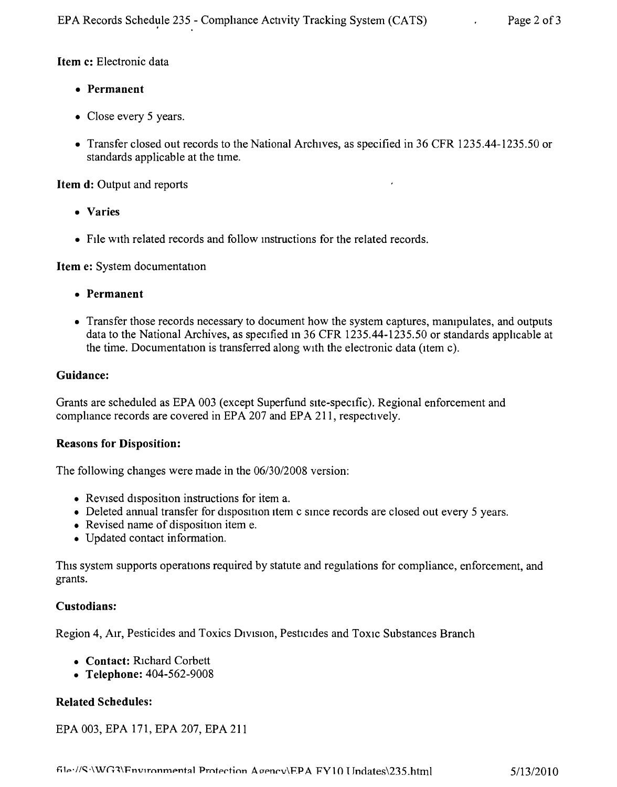Item c: Electronic data

- • Permanent
- Close every 5 years.
- Transfer closed out records to the National Archives, as specified in 36 CFR 1235.44-1235.50 or standards applicable at the time.

Item d: Output and reports

- • Varies
- File with related records and follow instructions for the related records.

Item e: System documentation

- • Permanent
- Transfer those records necessary to document how the system captures, manipulates, and outputs data to the National Archives, as specified In 36 CFR 1235.44-1235.50 or standards applicable at the time. Documentation is transferred along with the electronic data (item c).

## Guidance:

Grants are scheduled as EPA 003 (except Superfund site-specific). Regional enforcement and compliance records are covered in EPA 207 and EPA 211, respectively.

## Reasons for Disposition:

The following changes were made in the *06130/2008* version:

- Revised disposition instructions for item a.
- Deleted annual transfer for disposition item c since records are closed out every 5 years.
- Revised name of disposition item e.
- Updated contact information.

This system supports operations required by statute and regulations for compliance, enforcement, and grants.

# Custodians:

Region 4, Air, Pesticides and Toxics Division, Pesticides and Toxic Substances Branch

- Contact: Richard Corbett
- Telephone: 404-562-9008

# Related Schedules:

# EPA 003, EPA 171, EPA 207, EPA 211